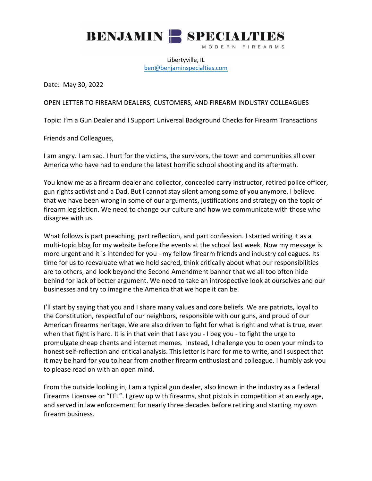

Libertyville, IL [ben@benjaminspecialties.com](mailto:ben@benjaminspecialties.com)

Date: May 30, 2022

OPEN LETTER TO FIREARM DEALERS, CUSTOMERS, AND FIREARM INDUSTRY COLLEAGUES

Topic: I'm a Gun Dealer and I Support Universal Background Checks for Firearm Transactions

Friends and Colleagues,

I am angry. I am sad. I hurt for the victims, the survivors, the town and communities all over America who have had to endure the latest horrific school shooting and its aftermath.

You know me as a firearm dealer and collector, concealed carry instructor, retired police officer, gun rights activist and a Dad. But I cannot stay silent among some of you anymore. I believe that we have been wrong in some of our arguments, justifications and strategy on the topic of firearm legislation. We need to change our culture and how we communicate with those who disagree with us.

What follows is part preaching, part reflection, and part confession. I started writing it as a multi-topic blog for my website before the events at the school last week. Now my message is more urgent and it is intended for you - my fellow firearm friends and industry colleagues. Its time for us to reevaluate what we hold sacred, think critically about what our responsibilities are to others, and look beyond the Second Amendment banner that we all too often hide behind for lack of better argument. We need to take an introspective look at ourselves and our businesses and try to imagine the America that we hope it can be.

I'll start by saying that you and I share many values and core beliefs. We are patriots, loyal to the Constitution, respectful of our neighbors, responsible with our guns, and proud of our American firearms heritage. We are also driven to fight for what is right and what is true, even when that fight is hard. It is in that vein that I ask you - I beg you - to fight the urge to promulgate cheap chants and internet memes. Instead, I challenge you to open your minds to honest self-reflection and critical analysis. This letter is hard for me to write, and I suspect that it may be hard for you to hear from another firearm enthusiast and colleague. I humbly ask you to please read on with an open mind.

From the outside looking in, I am a typical gun dealer, also known in the industry as a Federal Firearms Licensee or "FFL". I grew up with firearms, shot pistols in competition at an early age, and served in law enforcement for nearly three decades before retiring and starting my own firearm business.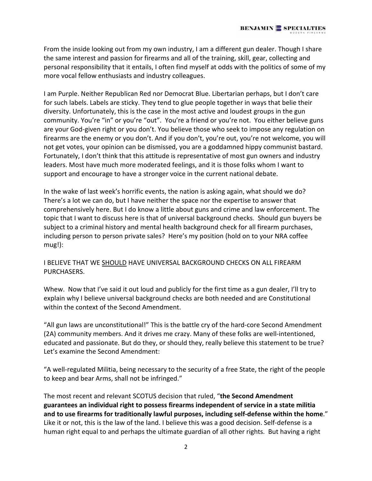From the inside looking out from my own industry, I am a different gun dealer. Though I share the same interest and passion for firearms and all of the training, skill, gear, collecting and personal responsibility that it entails, I often find myself at odds with the politics of some of my more vocal fellow enthusiasts and industry colleagues.

I am Purple. Neither Republican Red nor Democrat Blue. Libertarian perhaps, but I don't care for such labels. Labels are sticky. They tend to glue people together in ways that belie their diversity. Unfortunately, this is the case in the most active and loudest groups in the gun community. You're "in" or you're "out". You're a friend or you're not. You either believe guns are your God-given right or you don't. You believe those who seek to impose any regulation on firearms are the enemy or you don't. And if you don't, you're out, you're not welcome, you will not get votes, your opinion can be dismissed, you are a goddamned hippy communist bastard. Fortunately, I don't think that this attitude is representative of most gun owners and industry leaders. Most have much more moderated feelings, and it is those folks whom I want to support and encourage to have a stronger voice in the current national debate.

In the wake of last week's horrific events, the nation is asking again, what should we do? There's a lot we can do, but I have neither the space nor the expertise to answer that comprehensively here. But I do know a little about guns and crime and law enforcement. The topic that I want to discuss here is that of universal background checks. Should gun buyers be subject to a criminal history and mental health background check for all firearm purchases, including person to person private sales? Here's my position (hold on to your NRA coffee mug!):

## I BELIEVE THAT WE SHOULD HAVE UNIVERSAL BACKGROUND CHECKS ON ALL FIREARM PURCHASERS.

Whew. Now that I've said it out loud and publicly for the first time as a gun dealer, I'll try to explain why I believe universal background checks are both needed and are Constitutional within the context of the Second Amendment.

"All gun laws are unconstitutional!" This is the battle cry of the hard-core Second Amendment (2A) community members. And it drives me crazy. Many of these folks are well-intentioned, educated and passionate. But do they, or should they, really believe this statement to be true? Let's examine the Second Amendment:

"A well-regulated Militia, being necessary to the security of a free State, the right of the people to keep and bear Arms, shall not be infringed."

The most recent and relevant SCOTUS decision that ruled, "**the Second Amendment guarantees an individual right to possess firearms independent of service in a state militia and to use firearms for traditionally lawful purposes, including self-defense within the home**." Like it or not, this is the law of the land. I believe this was a good decision. Self-defense is a human right equal to and perhaps the ultimate guardian of all other rights. But having a right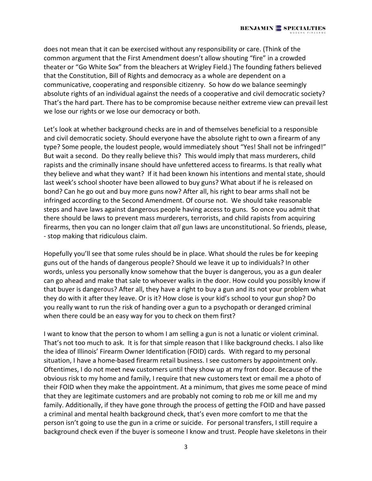does not mean that it can be exercised without any responsibility or care. (Think of the common argument that the First Amendment doesn't allow shouting "fire" in a crowded theater or "Go White Sox" from the bleachers at Wrigley Field.) The founding fathers believed that the Constitution, Bill of Rights and democracy as a whole are dependent on a communicative, cooperating and responsible citizenry. So how do we balance seemingly absolute rights of an individual against the needs of a cooperative and civil democratic society? That's the hard part. There has to be compromise because neither extreme view can prevail lest we lose our rights or we lose our democracy or both.

Let's look at whether background checks are in and of themselves beneficial to a responsible and civil democratic society. Should everyone have the absolute right to own a firearm of any type? Some people, the loudest people, would immediately shout "Yes! Shall not be infringed!" But wait a second. Do they really believe this? This would imply that mass murderers, child rapists and the criminally insane should have unfettered access to firearms. Is that really what they believe and what they want? If it had been known his intentions and mental state, should last week's school shooter have been allowed to buy guns? What about if he is released on bond? Can he go out and buy more guns now? After all, his right to bear arms shall not be infringed according to the Second Amendment. Of course not. We should take reasonable steps and have laws against dangerous people having access to guns. So once you admit that there should be laws to prevent mass murderers, terrorists, and child rapists from acquiring firearms, then you can no longer claim that *all* gun laws are unconstitutional. So friends, please, - stop making that ridiculous claim.

Hopefully you'll see that some rules should be in place. What should the rules be for keeping guns out of the hands of dangerous people? Should we leave it up to individuals? In other words, unless you personally know somehow that the buyer is dangerous, you as a gun dealer can go ahead and make that sale to whoever walks in the door. How could you possibly know if that buyer is dangerous? After all, they have a right to buy a gun and its not your problem what they do with it after they leave. Or is it? How close is your kid's school to your gun shop? Do you really want to run the risk of handing over a gun to a psychopath or deranged criminal when there could be an easy way for you to check on them first?

I want to know that the person to whom I am selling a gun is not a lunatic or violent criminal. That's not too much to ask. It is for that simple reason that I like background checks. I also like the idea of Illinois' Firearm Owner Identification (FOID) cards. With regard to my personal situation, I have a home-based firearm retail business. I see customers by appointment only. Oftentimes, I do not meet new customers until they show up at my front door. Because of the obvious risk to my home and family, I require that new customers text or email me a photo of their FOID when they make the appointment. At a minimum, that gives me some peace of mind that they are legitimate customers and are probably not coming to rob me or kill me and my family. Additionally, if they have gone through the process of getting the FOID and have passed a criminal and mental health background check, that's even more comfort to me that the person isn't going to use the gun in a crime or suicide. For personal transfers, I still require a background check even if the buyer is someone I know and trust. People have skeletons in their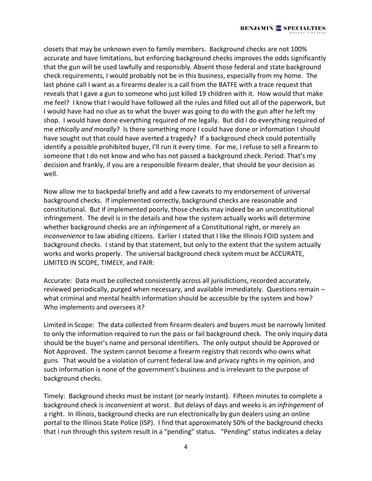closets that may be unknown even to family members. Background checks are not 100% accurate and have limitations, but enforcing background checks improves the odds significantly that the gun will be used lawfully and responsibly. Absent those federal and state background check requirements, I would probably not be in this business, especially from my home. The last phone call I want as a firearms dealer is a call from the BATFE with a trace request that reveals that I gave a gun to someone who just killed 19 children with it. How would that make me feel? I know that I would have followed all the rules and filled out all of the paperwork, but I would have had no clue as to what the buyer was going to do with the gun after he left my shop. I would have done everything required of me legally. But did I do everything required of me *ethically and morally*? Is there something more I could have done or information I should have sought out that could have averted a tragedy? If a background check could potentially identify a possible prohibited buyer, I'll run it every time. For me, I refuse to sell a firearm to someone that I do not know and who has not passed a background check. Period. That's my decision and frankly, if you are a responsible firearm dealer, that should be your decision as well.

Now allow me to backpedal briefly and add a few caveats to my endorsement of universal background checks. If implemented correctly, background checks are reasonable and constitutional. But if implemented poorly, those checks may indeed be an unconstitutional infringement. The devil is in the details and how the system actually works will determine whether background checks are an *infringement* of a Constitutional right, or merely an *inconvenience* to law abiding citizens. Earlier I stated that I like the Illinois FOID system and background checks. I stand by that statement, but only to the extent that the system actually works and works properly. The universal background check system must be ACCURATE, LIMITED IN SCOPE, TIMELY, and FAIR:

Accurate: Data must be collected consistently across all jurisdictions, recorded accurately, reviewed periodically, purged when necessary, and available immediately. Questions remain – what criminal and mental health information should be accessible by the system and how? Who implements and oversees it?

Limited in Scope: The data collected from firearm dealers and buyers must be narrowly limited to only the information required to run the pass or fail background check. The only inquiry data should be the buyer's name and personal identifiers. The only output should be Approved or Not Approved. The system cannot become a firearm registry that records who owns what guns. That would be a violation of current federal law and privacy rights in my opinion, and such information is none of the government's business and is irrelevant to the purpose of background checks.

Timely: Background checks must be instant (or nearly instant). Fifteen minutes to complete a background check is *inconvenient* at worst. But delays of days and weeks is an *infringement* of a right. In Illinois, background checks are run electronically by gun dealers using an online portal to the Illinois State Police (ISP). I find that approximately 50% of the background checks that I run through this system result in a "pending" status. "Pending" status indicates a delay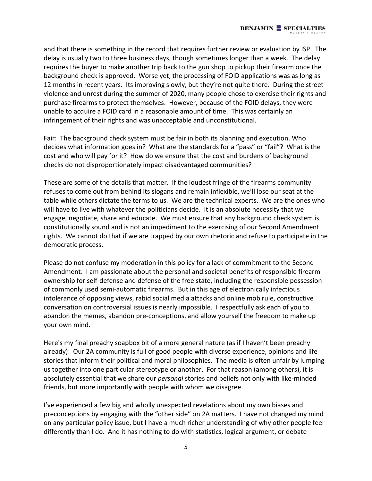and that there is something in the record that requires further review or evaluation by ISP. The delay is usually two to three business days, though sometimes longer than a week. The delay requires the buyer to make another trip back to the gun shop to pickup their firearm once the background check is approved. Worse yet, the processing of FOID applications was as long as 12 months in recent years. Its improving slowly, but they're not quite there. During the street violence and unrest during the summer of 2020, many people chose to exercise their rights and purchase firearms to protect themselves. However, because of the FOID delays, they were unable to acquire a FOID card in a reasonable amount of time. This was certainly an infringement of their rights and was unacceptable and unconstitutional.

Fair: The background check system must be fair in both its planning and execution. Who decides what information goes in? What are the standards for a "pass" or "fail"? What is the cost and who will pay for it? How do we ensure that the cost and burdens of background checks do not disproportionately impact disadvantaged communities?

These are some of the details that matter. If the loudest fringe of the firearms community refuses to come out from behind its slogans and remain inflexible, we'll lose our seat at the table while others dictate the terms to us. We are the technical experts. We are the ones who will have to live with whatever the politicians decide. It is an absolute necessity that we engage, negotiate, share and educate. We must ensure that any background check system is constitutionally sound and is not an impediment to the exercising of our Second Amendment rights. We cannot do that if we are trapped by our own rhetoric and refuse to participate in the democratic process.

Please do not confuse my moderation in this policy for a lack of commitment to the Second Amendment. I am passionate about the personal and societal benefits of responsible firearm ownership for self-defense and defense of the free state, including the responsible possession of commonly used semi-automatic firearms. But in this age of electronically infectious intolerance of opposing views, rabid social media attacks and online mob rule, constructive conversation on controversial issues is nearly impossible. I respectfully ask each of you to abandon the memes, abandon pre-conceptions, and allow yourself the freedom to make up your own mind.

Here's my final preachy soapbox bit of a more general nature (as if I haven't been preachy already): Our 2A community is full of good people with diverse experience, opinions and life stories that inform their political and moral philosophies. The media is often unfair by lumping us together into one particular stereotype or another. For that reason (among others), it is absolutely essential that we share our *personal* stories and beliefs not only with like-minded friends, but more importantly with people with whom we disagree.

I've experienced a few big and wholly unexpected revelations about my own biases and preconceptions by engaging with the "other side" on 2A matters. I have not changed my mind on any particular policy issue, but I have a much richer understanding of why other people feel differently than I do. And it has nothing to do with statistics, logical argument, or debate